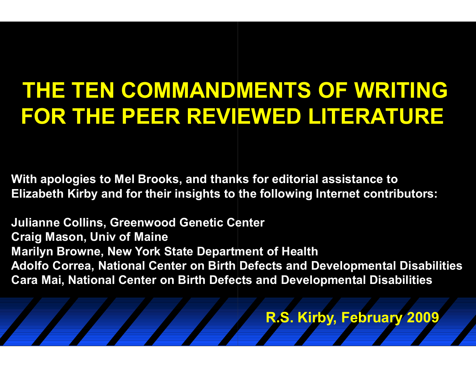# **THE TEN COMMANDMENTS OF WRITING FOR THE PEER REVIEWED LITERATURE**

**With apologies to Mel Brooks, and thanks for editorial assistance to Elizabeth Kirby and for their insights to the following Internet contributors:** 

**Julianne Collins, Greenwood Genetic Center Craig Mason, Univ of Maine Marilyn Browne, New York State Department of Health Adolfo Correa, National Center on Birth Defects and Developmental Disabilities Cara Mai, National Center on Birth Defects and Developmental Disabilities** 

**R.S. Kirby, February 2009**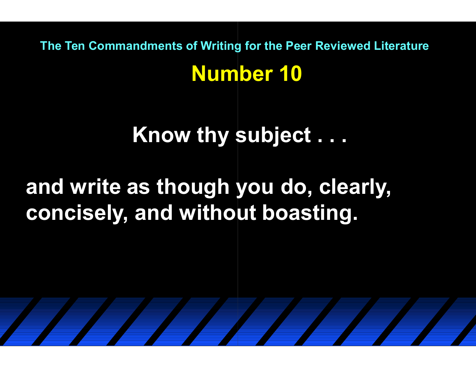**Number 10 The Ten Commandments of Writing for the Peer Reviewed Literature**

## **Know thy subject . . .**

## **and write as though you do, clearly, concisely, and without boasting.**

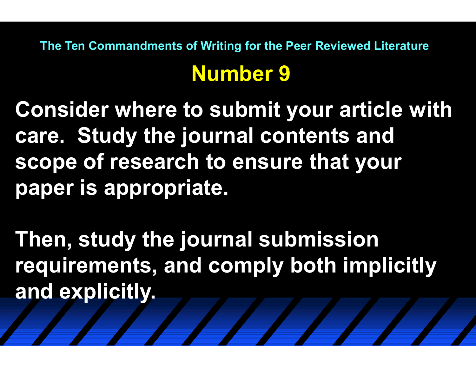## **Number 9 The Ten Commandments of Writing for the Peer Reviewed Literature**

**Consider where to submit your article with care. Study the journal contents and scope of research to ensure that your paper is appropriate.**

**Then, study the journal submission requirements, and comply both implicitly and explicitly.**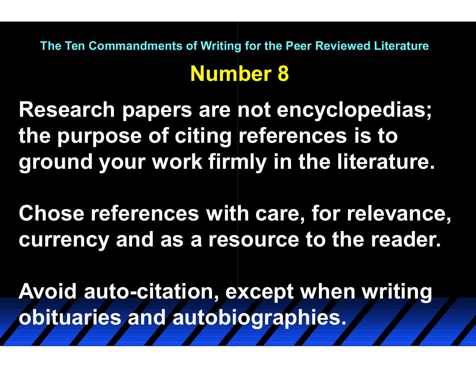**Number 8 The Ten Commandments of Writing for the Peer Reviewed Literature**

**Research papers are not encyclopedias; the purpose of citing references is to ground your work firmly in the literature.**

**Chose references with care, for relevance, currency and as a resource to the reader.**

Avoid auto-citation, except when writing **obituaries and autobiographies.**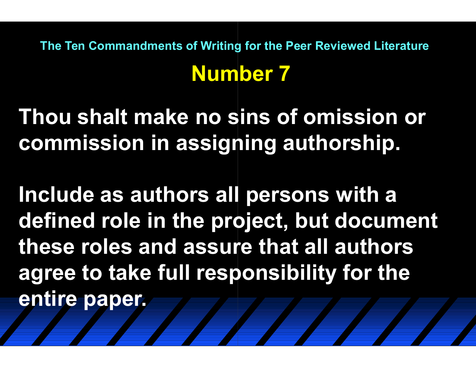## **Number 7 The Ten Commandments of Writing for the Peer Reviewed Literature**

**Thou shalt make no sins of omission or commission in assigning authorship.**

**Include as authors all persons with a defined role in the project, but document these roles and assure that all authors agree to take full responsibility for the entire paper.**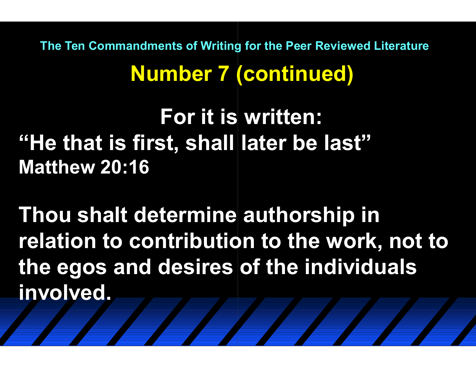**Number 7 (continued) The Ten Commandments of Writing for the Peer Reviewed Literature**

**For it is written: "He that is first, shall later be last" Matthew 20:16** 

**Thou shalt determine authorship in relation to contribution to the work, not to the egos and desires of the individuals involved.**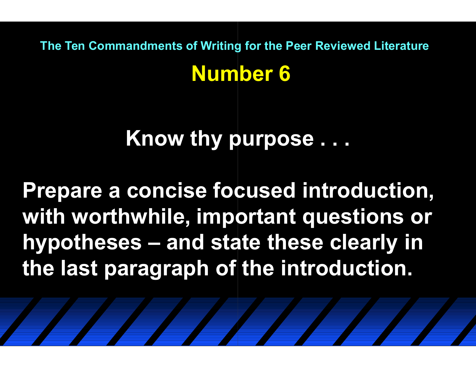**Number 6 The Ten Commandments of Writing for the Peer Reviewed Literature**

**Know thy purpose . . .**

**Prepare a concise focused introduction, with worthwhile, important questions or hypotheses – and state these clearly in andthe last paragraph of the introduction.**

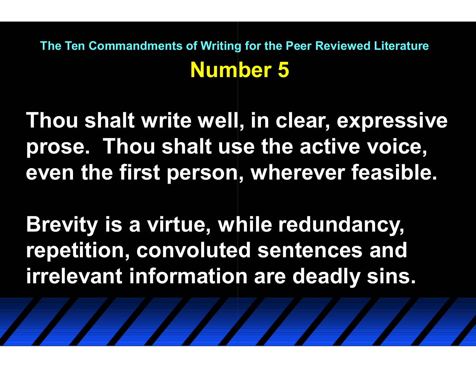### **Number 5 The Ten Commandments of Writing for the Peer Reviewed Literature**

**Thou shalt write well, in clear, expressive prose. Thou shalt use the active voice, even the first person, wherever feasible.**

**Brevity is a virtue, while redundancy, repetition, convoluted sentences and irrelevant information are deadly sins.**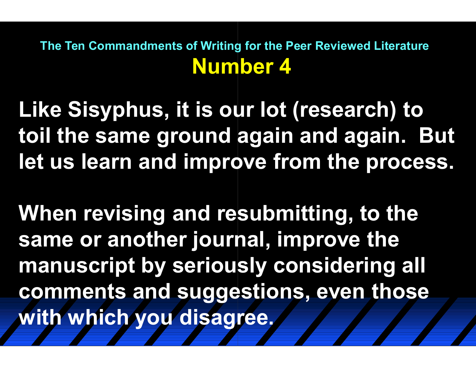#### **Number 4 The Ten Commandments of Writing for the Peer Reviewed Literature**

**Like Sisyphus, it is our lot (research) to toil the same ground again and again. But let us learn and improve from the process.**

**When revising and resubmitting, to the same or another journal, improve the manuscript by seriously considering all comments and suggestions, even those with which you disagree.**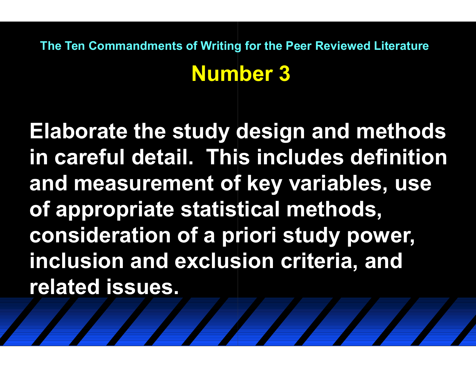## **Number 3 The Ten Commandments of Writing for the Peer Reviewed Literature**

**Elaborate the study design and methods in careful detail. This includes definition and measurement of key variables, use of appropriate statistical methods, consideration of a priori study power, inclusion and exclusion criteria, and related issues.**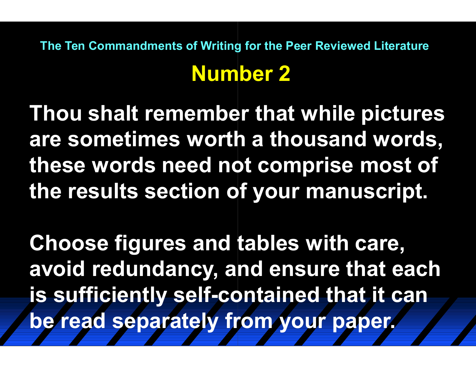## **Number 2 The Ten Commandments of Writing for the Peer Reviewed Literature**

**Thou shalt remember that while pictures are sometimes worth a thousand words, these words need not comprise most of the results section of your manuscript.**

**Choose figures and tables with care, avoid redundancy, and ensure that each is sufficiently self-contained that it can be read separately from your paper.**